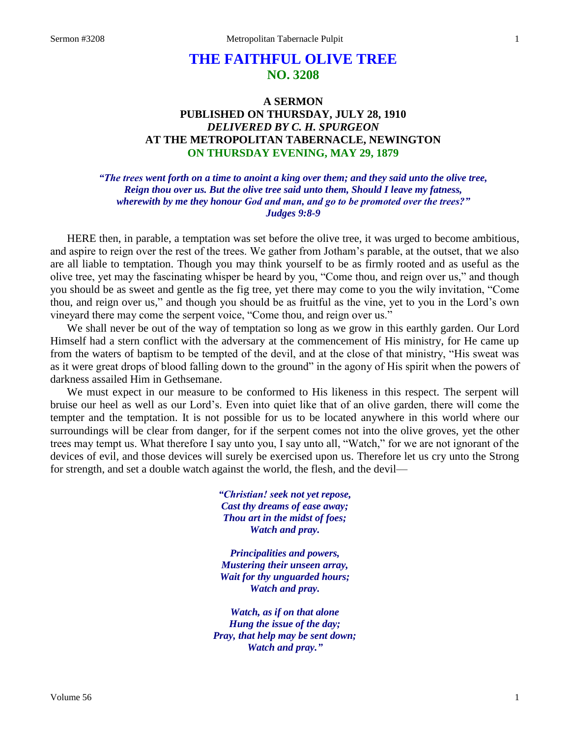# **THE FAITHFUL OLIVE TREE NO. 3208**

## **A SERMON PUBLISHED ON THURSDAY, JULY 28, 1910** *DELIVERED BY C. H. SPURGEON* **AT THE METROPOLITAN TABERNACLE, NEWINGTON ON THURSDAY EVENING, MAY 29, 1879**

## *"The trees went forth on a time to anoint a king over them; and they said unto the olive tree, Reign thou over us. But the olive tree said unto them, Should I leave my fatness, wherewith by me they honour God and man, and go to be promoted over the trees?" Judges 9:8-9*

HERE then, in parable, a temptation was set before the olive tree, it was urged to become ambitious, and aspire to reign over the rest of the trees. We gather from Jotham's parable, at the outset, that we also are all liable to temptation. Though you may think yourself to be as firmly rooted and as useful as the olive tree, yet may the fascinating whisper be heard by you, "Come thou, and reign over us," and though you should be as sweet and gentle as the fig tree, yet there may come to you the wily invitation, "Come thou, and reign over us," and though you should be as fruitful as the vine, yet to you in the Lord's own vineyard there may come the serpent voice, "Come thou, and reign over us."

We shall never be out of the way of temptation so long as we grow in this earthly garden. Our Lord Himself had a stern conflict with the adversary at the commencement of His ministry, for He came up from the waters of baptism to be tempted of the devil, and at the close of that ministry, "His sweat was as it were great drops of blood falling down to the ground" in the agony of His spirit when the powers of darkness assailed Him in Gethsemane.

We must expect in our measure to be conformed to His likeness in this respect. The serpent will bruise our heel as well as our Lord's. Even into quiet like that of an olive garden, there will come the tempter and the temptation. It is not possible for us to be located anywhere in this world where our surroundings will be clear from danger, for if the serpent comes not into the olive groves, yet the other trees may tempt us. What therefore I say unto you, I say unto all, "Watch," for we are not ignorant of the devices of evil, and those devices will surely be exercised upon us. Therefore let us cry unto the Strong for strength, and set a double watch against the world, the flesh, and the devil—

> *"Christian! seek not yet repose, Cast thy dreams of ease away; Thou art in the midst of foes; Watch and pray.*

*Principalities and powers, Mustering their unseen array, Wait for thy unguarded hours; Watch and pray.*

*Watch, as if on that alone Hung the issue of the day; Pray, that help may be sent down; Watch and pray."*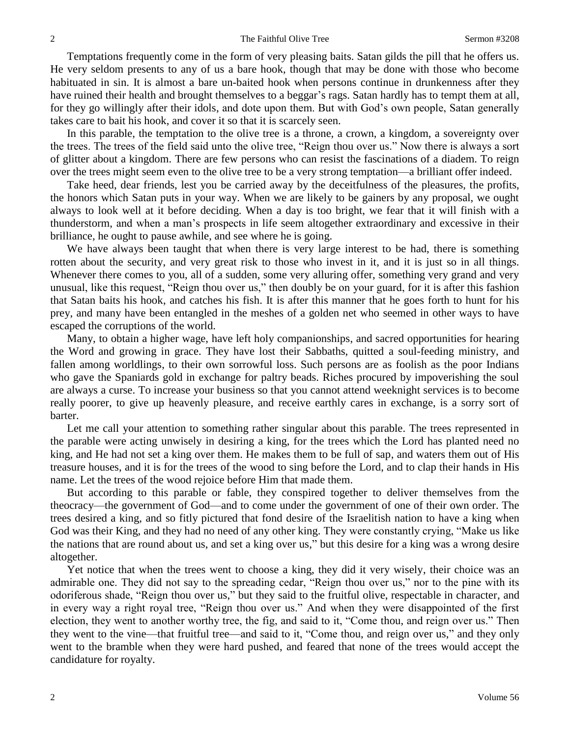Temptations frequently come in the form of very pleasing baits. Satan gilds the pill that he offers us. He very seldom presents to any of us a bare hook, though that may be done with those who become habituated in sin. It is almost a bare un-baited hook when persons continue in drunkenness after they have ruined their health and brought themselves to a beggar's rags. Satan hardly has to tempt them at all, for they go willingly after their idols, and dote upon them. But with God's own people, Satan generally takes care to bait his hook, and cover it so that it is scarcely seen.

In this parable, the temptation to the olive tree is a throne, a crown, a kingdom, a sovereignty over the trees. The trees of the field said unto the olive tree, "Reign thou over us." Now there is always a sort of glitter about a kingdom. There are few persons who can resist the fascinations of a diadem. To reign over the trees might seem even to the olive tree to be a very strong temptation—a brilliant offer indeed.

Take heed, dear friends, lest you be carried away by the deceitfulness of the pleasures, the profits, the honors which Satan puts in your way. When we are likely to be gainers by any proposal, we ought always to look well at it before deciding. When a day is too bright, we fear that it will finish with a thunderstorm, and when a man's prospects in life seem altogether extraordinary and excessive in their brilliance, he ought to pause awhile, and see where he is going.

We have always been taught that when there is very large interest to be had, there is something rotten about the security, and very great risk to those who invest in it, and it is just so in all things. Whenever there comes to you, all of a sudden, some very alluring offer, something very grand and very unusual, like this request, "Reign thou over us," then doubly be on your guard, for it is after this fashion that Satan baits his hook, and catches his fish. It is after this manner that he goes forth to hunt for his prey, and many have been entangled in the meshes of a golden net who seemed in other ways to have escaped the corruptions of the world.

Many, to obtain a higher wage, have left holy companionships, and sacred opportunities for hearing the Word and growing in grace. They have lost their Sabbaths, quitted a soul-feeding ministry, and fallen among worldlings, to their own sorrowful loss. Such persons are as foolish as the poor Indians who gave the Spaniards gold in exchange for paltry beads. Riches procured by impoverishing the soul are always a curse. To increase your business so that you cannot attend weeknight services is to become really poorer, to give up heavenly pleasure, and receive earthly cares in exchange, is a sorry sort of barter.

Let me call your attention to something rather singular about this parable. The trees represented in the parable were acting unwisely in desiring a king, for the trees which the Lord has planted need no king, and He had not set a king over them. He makes them to be full of sap, and waters them out of His treasure houses, and it is for the trees of the wood to sing before the Lord, and to clap their hands in His name. Let the trees of the wood rejoice before Him that made them.

But according to this parable or fable, they conspired together to deliver themselves from the theocracy—the government of God—and to come under the government of one of their own order. The trees desired a king, and so fitly pictured that fond desire of the Israelitish nation to have a king when God was their King, and they had no need of any other king. They were constantly crying, "Make us like the nations that are round about us, and set a king over us," but this desire for a king was a wrong desire altogether.

Yet notice that when the trees went to choose a king, they did it very wisely, their choice was an admirable one. They did not say to the spreading cedar, "Reign thou over us," nor to the pine with its odoriferous shade, "Reign thou over us," but they said to the fruitful olive, respectable in character, and in every way a right royal tree, "Reign thou over us." And when they were disappointed of the first election, they went to another worthy tree, the fig, and said to it, "Come thou, and reign over us." Then they went to the vine—that fruitful tree—and said to it, "Come thou, and reign over us," and they only went to the bramble when they were hard pushed, and feared that none of the trees would accept the candidature for royalty.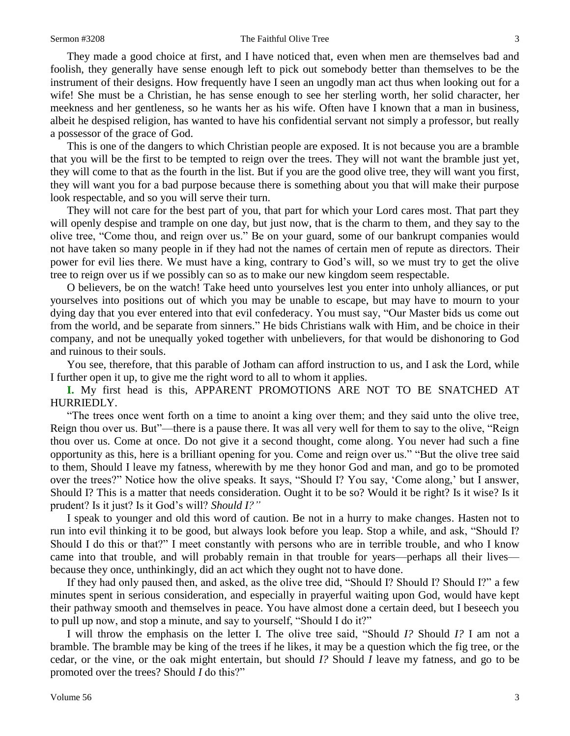### Sermon #3208 The Faithful Olive Tree 3

They made a good choice at first, and I have noticed that, even when men are themselves bad and foolish, they generally have sense enough left to pick out somebody better than themselves to be the instrument of their designs. How frequently have I seen an ungodly man act thus when looking out for a wife! She must be a Christian, he has sense enough to see her sterling worth, her solid character, her meekness and her gentleness, so he wants her as his wife. Often have I known that a man in business, albeit he despised religion, has wanted to have his confidential servant not simply a professor, but really a possessor of the grace of God.

This is one of the dangers to which Christian people are exposed. It is not because you are a bramble that you will be the first to be tempted to reign over the trees. They will not want the bramble just yet, they will come to that as the fourth in the list. But if you are the good olive tree, they will want you first, they will want you for a bad purpose because there is something about you that will make their purpose look respectable, and so you will serve their turn.

They will not care for the best part of you, that part for which your Lord cares most. That part they will openly despise and trample on one day, but just now, that is the charm to them, and they say to the olive tree, "Come thou, and reign over us." Be on your guard, some of our bankrupt companies would not have taken so many people in if they had not the names of certain men of repute as directors. Their power for evil lies there. We must have a king, contrary to God's will, so we must try to get the olive tree to reign over us if we possibly can so as to make our new kingdom seem respectable.

O believers, be on the watch! Take heed unto yourselves lest you enter into unholy alliances, or put yourselves into positions out of which you may be unable to escape, but may have to mourn to your dying day that you ever entered into that evil confederacy. You must say, "Our Master bids us come out from the world, and be separate from sinners." He bids Christians walk with Him, and be choice in their company, and not be unequally yoked together with unbelievers, for that would be dishonoring to God and ruinous to their souls.

You see, therefore, that this parable of Jotham can afford instruction to us, and I ask the Lord, while I further open it up, to give me the right word to all to whom it applies.

**I.** My first head is this, APPARENT PROMOTIONS ARE NOT TO BE SNATCHED AT HURRIEDLY.

"The trees once went forth on a time to anoint a king over them; and they said unto the olive tree, Reign thou over us. But"—there is a pause there. It was all very well for them to say to the olive, "Reign thou over us. Come at once. Do not give it a second thought, come along. You never had such a fine opportunity as this, here is a brilliant opening for you. Come and reign over us." "But the olive tree said to them, Should I leave my fatness, wherewith by me they honor God and man, and go to be promoted over the trees?" Notice how the olive speaks. It says, "Should I? You say, 'Come along,' but I answer, Should I? This is a matter that needs consideration. Ought it to be so? Would it be right? Is it wise? Is it prudent? Is it just? Is it God's will? *Should I?"*

I speak to younger and old this word of caution. Be not in a hurry to make changes. Hasten not to run into evil thinking it to be good, but always look before you leap. Stop a while, and ask, "Should I? Should I do this or that?" I meet constantly with persons who are in terrible trouble, and who I know came into that trouble, and will probably remain in that trouble for years—perhaps all their lives because they once, unthinkingly, did an act which they ought not to have done.

If they had only paused then, and asked, as the olive tree did, "Should I? Should I? Should I?" a few minutes spent in serious consideration, and especially in prayerful waiting upon God, would have kept their pathway smooth and themselves in peace. You have almost done a certain deed, but I beseech you to pull up now, and stop a minute, and say to yourself, "Should I do it?"

I will throw the emphasis on the letter I. The olive tree said, "Should *I?* Should *I?* I am not a bramble. The bramble may be king of the trees if he likes, it may be a question which the fig tree, or the cedar, or the vine, or the oak might entertain, but should *I?* Should *I* leave my fatness, and go to be promoted over the trees? Should *I* do this?"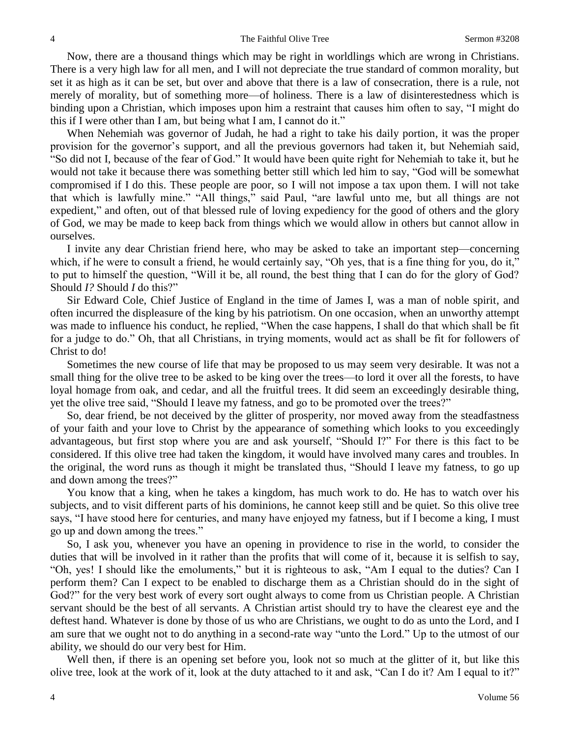Now, there are a thousand things which may be right in worldlings which are wrong in Christians. There is a very high law for all men, and I will not depreciate the true standard of common morality, but set it as high as it can be set, but over and above that there is a law of consecration, there is a rule, not merely of morality, but of something more—of holiness. There is a law of disinterestedness which is binding upon a Christian, which imposes upon him a restraint that causes him often to say, "I might do this if I were other than I am, but being what I am, I cannot do it."

When Nehemiah was governor of Judah, he had a right to take his daily portion, it was the proper provision for the governor's support, and all the previous governors had taken it, but Nehemiah said, "So did not I, because of the fear of God." It would have been quite right for Nehemiah to take it, but he would not take it because there was something better still which led him to say, "God will be somewhat compromised if I do this. These people are poor, so I will not impose a tax upon them. I will not take that which is lawfully mine." "All things," said Paul, "are lawful unto me, but all things are not expedient," and often, out of that blessed rule of loving expediency for the good of others and the glory of God, we may be made to keep back from things which we would allow in others but cannot allow in ourselves.

I invite any dear Christian friend here, who may be asked to take an important step—concerning which, if he were to consult a friend, he would certainly say, "Oh yes, that is a fine thing for you, do it," to put to himself the question, "Will it be, all round, the best thing that I can do for the glory of God? Should *I?* Should *I* do this?"

Sir Edward Cole, Chief Justice of England in the time of James I, was a man of noble spirit, and often incurred the displeasure of the king by his patriotism. On one occasion, when an unworthy attempt was made to influence his conduct, he replied, "When the case happens, I shall do that which shall be fit for a judge to do." Oh, that all Christians, in trying moments, would act as shall be fit for followers of Christ to do!

Sometimes the new course of life that may be proposed to us may seem very desirable. It was not a small thing for the olive tree to be asked to be king over the trees—to lord it over all the forests, to have loyal homage from oak, and cedar, and all the fruitful trees. It did seem an exceedingly desirable thing, yet the olive tree said, "Should I leave my fatness, and go to be promoted over the trees?"

So, dear friend, be not deceived by the glitter of prosperity, nor moved away from the steadfastness of your faith and your love to Christ by the appearance of something which looks to you exceedingly advantageous, but first stop where you are and ask yourself, "Should I?" For there is this fact to be considered. If this olive tree had taken the kingdom, it would have involved many cares and troubles. In the original, the word runs as though it might be translated thus, "Should I leave my fatness, to go up and down among the trees?"

You know that a king, when he takes a kingdom, has much work to do. He has to watch over his subjects, and to visit different parts of his dominions, he cannot keep still and be quiet. So this olive tree says, "I have stood here for centuries, and many have enjoyed my fatness, but if I become a king, I must go up and down among the trees."

So, I ask you, whenever you have an opening in providence to rise in the world, to consider the duties that will be involved in it rather than the profits that will come of it, because it is selfish to say, "Oh, yes! I should like the emoluments," but it is righteous to ask, "Am I equal to the duties? Can I perform them? Can I expect to be enabled to discharge them as a Christian should do in the sight of God?" for the very best work of every sort ought always to come from us Christian people. A Christian servant should be the best of all servants. A Christian artist should try to have the clearest eye and the deftest hand. Whatever is done by those of us who are Christians, we ought to do as unto the Lord, and I am sure that we ought not to do anything in a second-rate way "unto the Lord." Up to the utmost of our ability, we should do our very best for Him.

Well then, if there is an opening set before you, look not so much at the glitter of it, but like this olive tree, look at the work of it, look at the duty attached to it and ask, "Can I do it? Am I equal to it?"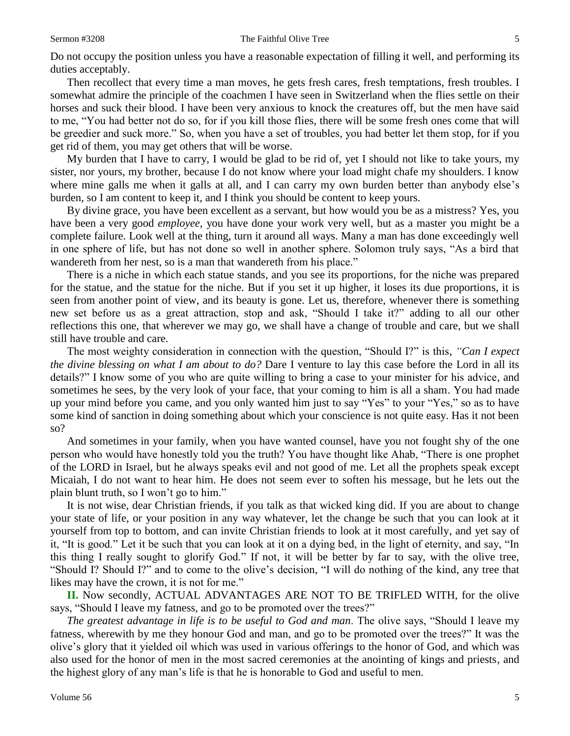### Sermon #3208 The Faithful Olive Tree 5

Do not occupy the position unless you have a reasonable expectation of filling it well, and performing its duties acceptably.

Then recollect that every time a man moves, he gets fresh cares, fresh temptations, fresh troubles. I somewhat admire the principle of the coachmen I have seen in Switzerland when the flies settle on their horses and suck their blood. I have been very anxious to knock the creatures off, but the men have said to me, "You had better not do so, for if you kill those flies, there will be some fresh ones come that will be greedier and suck more." So, when you have a set of troubles, you had better let them stop, for if you get rid of them, you may get others that will be worse.

My burden that I have to carry, I would be glad to be rid of, yet I should not like to take yours, my sister, nor yours, my brother, because I do not know where your load might chafe my shoulders. I know where mine galls me when it galls at all, and I can carry my own burden better than anybody else's burden, so I am content to keep it, and I think you should be content to keep yours.

By divine grace, you have been excellent as a servant, but how would you be as a mistress? Yes, you have been a very good *employee,* you have done your work very well, but as a master you might be a complete failure. Look well at the thing, turn it around all ways. Many a man has done exceedingly well in one sphere of life, but has not done so well in another sphere. Solomon truly says, "As a bird that wandereth from her nest, so is a man that wandereth from his place."

There is a niche in which each statue stands, and you see its proportions, for the niche was prepared for the statue, and the statue for the niche. But if you set it up higher, it loses its due proportions, it is seen from another point of view, and its beauty is gone. Let us, therefore, whenever there is something new set before us as a great attraction, stop and ask, "Should I take it?" adding to all our other reflections this one, that wherever we may go, we shall have a change of trouble and care, but we shall still have trouble and care.

The most weighty consideration in connection with the question, "Should I?" is this, *"Can I expect the divine blessing on what I am about to do?* Dare I venture to lay this case before the Lord in all its details?" I know some of you who are quite willing to bring a case to your minister for his advice, and sometimes he sees, by the very look of your face, that your coming to him is all a sham. You had made up your mind before you came, and you only wanted him just to say "Yes" to your "Yes," so as to have some kind of sanction in doing something about which your conscience is not quite easy. Has it not been so?

And sometimes in your family, when you have wanted counsel, have you not fought shy of the one person who would have honestly told you the truth? You have thought like Ahab, "There is one prophet of the LORD in Israel, but he always speaks evil and not good of me. Let all the prophets speak except Micaiah, I do not want to hear him. He does not seem ever to soften his message, but he lets out the plain blunt truth, so I won't go to him."

It is not wise, dear Christian friends, if you talk as that wicked king did. If you are about to change your state of life, or your position in any way whatever, let the change be such that you can look at it yourself from top to bottom, and can invite Christian friends to look at it most carefully, and yet say of it, "It is good." Let it be such that you can look at it on a dying bed, in the light of eternity, and say, "In this thing I really sought to glorify God." If not, it will be better by far to say, with the olive tree, "Should I? Should I?" and to come to the olive's decision, "I will do nothing of the kind, any tree that likes may have the crown, it is not for me."

**II.** Now secondly, ACTUAL ADVANTAGES ARE NOT TO BE TRIFLED WITH, for the olive says, "Should I leave my fatness, and go to be promoted over the trees?"

*The greatest advantage in life is to be useful to God and man*. The olive says, "Should I leave my fatness, wherewith by me they honour God and man, and go to be promoted over the trees?" It was the olive's glory that it yielded oil which was used in various offerings to the honor of God, and which was also used for the honor of men in the most sacred ceremonies at the anointing of kings and priests, and the highest glory of any man's life is that he is honorable to God and useful to men.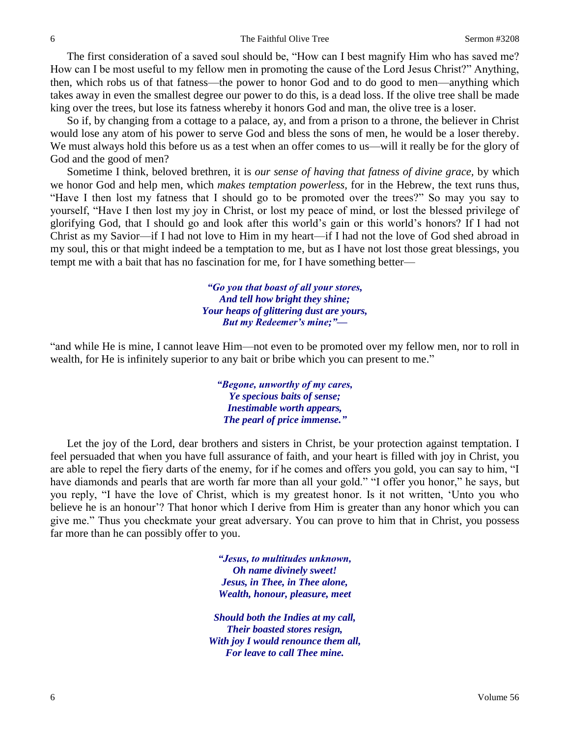The first consideration of a saved soul should be, "How can I best magnify Him who has saved me? How can I be most useful to my fellow men in promoting the cause of the Lord Jesus Christ?" Anything, then, which robs us of that fatness—the power to honor God and to do good to men—anything which takes away in even the smallest degree our power to do this, is a dead loss. If the olive tree shall be made king over the trees, but lose its fatness whereby it honors God and man, the olive tree is a loser.

So if, by changing from a cottage to a palace, ay, and from a prison to a throne, the believer in Christ would lose any atom of his power to serve God and bless the sons of men, he would be a loser thereby. We must always hold this before us as a test when an offer comes to us—will it really be for the glory of God and the good of men?

Sometime I think, beloved brethren, it is *our sense of having that fatness of divine grace,* by which we honor God and help men, which *makes temptation powerless,* for in the Hebrew, the text runs thus, "Have I then lost my fatness that I should go to be promoted over the trees?" So may you say to yourself, "Have I then lost my joy in Christ, or lost my peace of mind, or lost the blessed privilege of glorifying God, that I should go and look after this world's gain or this world's honors? If I had not Christ as my Savior—if I had not love to Him in my heart—if I had not the love of God shed abroad in my soul, this or that might indeed be a temptation to me, but as I have not lost those great blessings, you tempt me with a bait that has no fascination for me, for I have something better—

> *"Go you that boast of all your stores, And tell how bright they shine; Your heaps of glittering dust are yours, But my Redeemer's mine;"—*

"and while He is mine, I cannot leave Him—not even to be promoted over my fellow men, nor to roll in wealth, for He is infinitely superior to any bait or bribe which you can present to me."

> *"Begone, unworthy of my cares, Ye specious baits of sense; Inestimable worth appears, The pearl of price immense."*

Let the joy of the Lord, dear brothers and sisters in Christ, be your protection against temptation. I feel persuaded that when you have full assurance of faith, and your heart is filled with joy in Christ, you are able to repel the fiery darts of the enemy, for if he comes and offers you gold, you can say to him, "I have diamonds and pearls that are worth far more than all your gold." "I offer you honor," he says, but you reply, "I have the love of Christ, which is my greatest honor. Is it not written, 'Unto you who believe he is an honour'? That honor which I derive from Him is greater than any honor which you can give me." Thus you checkmate your great adversary. You can prove to him that in Christ, you possess far more than he can possibly offer to you.

> *"Jesus, to multitudes unknown, Oh name divinely sweet! Jesus, in Thee, in Thee alone, Wealth, honour, pleasure, meet*

*Should both the Indies at my call, Their boasted stores resign, With joy I would renounce them all, For leave to call Thee mine.*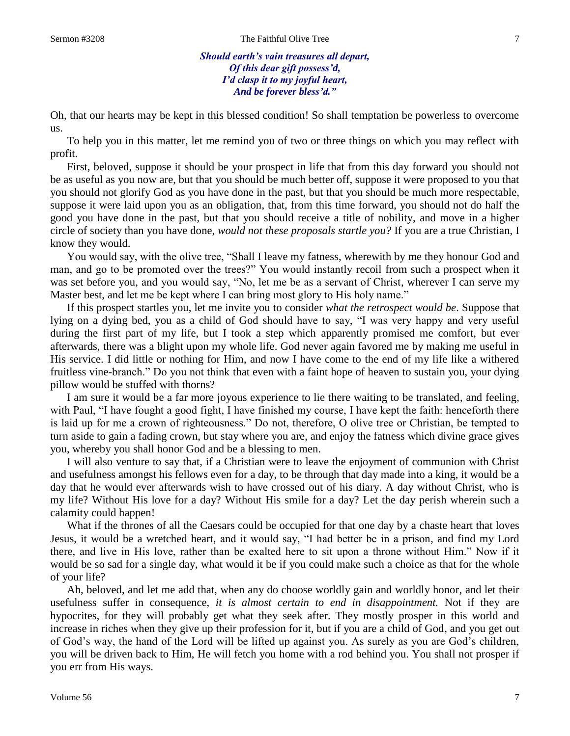*Should earth's vain treasures all depart, Of this dear gift possess'd, I'd clasp it to my joyful heart, And be forever bless'd."*

Oh, that our hearts may be kept in this blessed condition! So shall temptation be powerless to overcome us.

To help you in this matter, let me remind you of two or three things on which you may reflect with profit.

First, beloved, suppose it should be your prospect in life that from this day forward you should not be as useful as you now are, but that you should be much better off, suppose it were proposed to you that you should not glorify God as you have done in the past, but that you should be much more respectable, suppose it were laid upon you as an obligation, that, from this time forward, you should not do half the good you have done in the past, but that you should receive a title of nobility, and move in a higher circle of society than you have done, *would not these proposals startle you?* If you are a true Christian, I know they would.

You would say, with the olive tree, "Shall I leave my fatness, wherewith by me they honour God and man, and go to be promoted over the trees?" You would instantly recoil from such a prospect when it was set before you, and you would say, "No, let me be as a servant of Christ, wherever I can serve my Master best, and let me be kept where I can bring most glory to His holy name."

If this prospect startles you, let me invite you to consider *what the retrospect would be*. Suppose that lying on a dying bed, you as a child of God should have to say, "I was very happy and very useful during the first part of my life, but I took a step which apparently promised me comfort, but ever afterwards, there was a blight upon my whole life. God never again favored me by making me useful in His service. I did little or nothing for Him, and now I have come to the end of my life like a withered fruitless vine-branch." Do you not think that even with a faint hope of heaven to sustain you, your dying pillow would be stuffed with thorns?

I am sure it would be a far more joyous experience to lie there waiting to be translated, and feeling, with Paul, "I have fought a good fight, I have finished my course, I have kept the faith: henceforth there is laid up for me a crown of righteousness." Do not, therefore, O olive tree or Christian, be tempted to turn aside to gain a fading crown, but stay where you are, and enjoy the fatness which divine grace gives you, whereby you shall honor God and be a blessing to men.

I will also venture to say that, if a Christian were to leave the enjoyment of communion with Christ and usefulness amongst his fellows even for a day, to be through that day made into a king, it would be a day that he would ever afterwards wish to have crossed out of his diary. A day without Christ, who is my life? Without His love for a day? Without His smile for a day? Let the day perish wherein such a calamity could happen!

What if the thrones of all the Caesars could be occupied for that one day by a chaste heart that loves Jesus, it would be a wretched heart, and it would say, "I had better be in a prison, and find my Lord there, and live in His love, rather than be exalted here to sit upon a throne without Him." Now if it would be so sad for a single day, what would it be if you could make such a choice as that for the whole of your life?

Ah, beloved, and let me add that, when any do choose worldly gain and worldly honor, and let their usefulness suffer in consequence, *it is almost certain to end in disappointment.* Not if they are hypocrites, for they will probably get what they seek after. They mostly prosper in this world and increase in riches when they give up their profession for it, but if you are a child of God, and you get out of God's way, the hand of the Lord will be lifted up against you. As surely as you are God's children, you will be driven back to Him, He will fetch you home with a rod behind you. You shall not prosper if you err from His ways.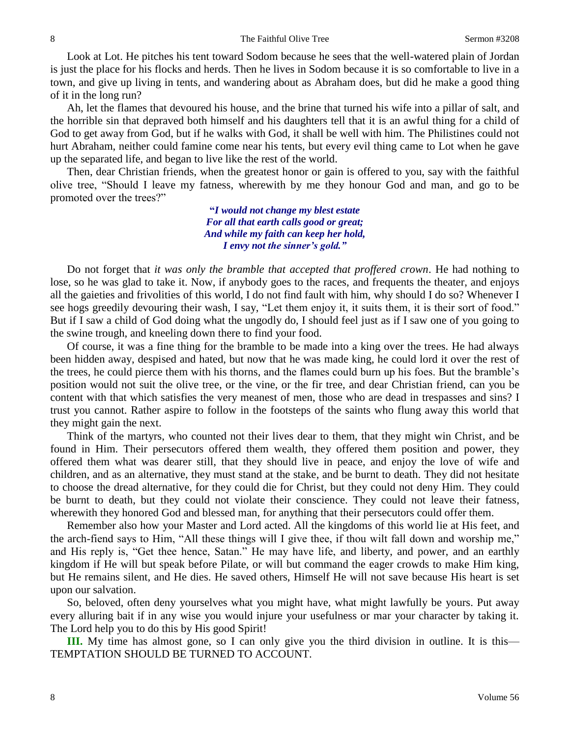Look at Lot. He pitches his tent toward Sodom because he sees that the well-watered plain of Jordan is just the place for his flocks and herds. Then he lives in Sodom because it is so comfortable to live in a town, and give up living in tents, and wandering about as Abraham does, but did he make a good thing of it in the long run?

Ah, let the flames that devoured his house, and the brine that turned his wife into a pillar of salt, and the horrible sin that depraved both himself and his daughters tell that it is an awful thing for a child of God to get away from God, but if he walks with God, it shall be well with him. The Philistines could not hurt Abraham, neither could famine come near his tents, but every evil thing came to Lot when he gave up the separated life, and began to live like the rest of the world.

Then, dear Christian friends, when the greatest honor or gain is offered to you, say with the faithful olive tree, "Should I leave my fatness, wherewith by me they honour God and man, and go to be promoted over the trees?"

> **"***I would not change my blest estate For all that earth calls good or great; And while my faith can keep her hold, I envy not the sinner's gold."*

Do not forget that *it was only the bramble that accepted that proffered crown*. He had nothing to lose, so he was glad to take it. Now, if anybody goes to the races, and frequents the theater, and enjoys all the gaieties and frivolities of this world, I do not find fault with him, why should I do so? Whenever I see hogs greedily devouring their wash, I say, "Let them enjoy it, it suits them, it is their sort of food." But if I saw a child of God doing what the ungodly do, I should feel just as if I saw one of you going to the swine trough, and kneeling down there to find your food.

Of course, it was a fine thing for the bramble to be made into a king over the trees. He had always been hidden away, despised and hated, but now that he was made king, he could lord it over the rest of the trees, he could pierce them with his thorns, and the flames could burn up his foes. But the bramble's position would not suit the olive tree, or the vine, or the fir tree, and dear Christian friend, can you be content with that which satisfies the very meanest of men, those who are dead in trespasses and sins? I trust you cannot. Rather aspire to follow in the footsteps of the saints who flung away this world that they might gain the next.

Think of the martyrs, who counted not their lives dear to them, that they might win Christ, and be found in Him. Their persecutors offered them wealth, they offered them position and power, they offered them what was dearer still, that they should live in peace, and enjoy the love of wife and children, and as an alternative, they must stand at the stake, and be burnt to death. They did not hesitate to choose the dread alternative, for they could die for Christ, but they could not deny Him. They could be burnt to death, but they could not violate their conscience. They could not leave their fatness, wherewith they honored God and blessed man, for anything that their persecutors could offer them.

Remember also how your Master and Lord acted. All the kingdoms of this world lie at His feet, and the arch-fiend says to Him, "All these things will I give thee, if thou wilt fall down and worship me," and His reply is, "Get thee hence, Satan." He may have life, and liberty, and power, and an earthly kingdom if He will but speak before Pilate, or will but command the eager crowds to make Him king, but He remains silent, and He dies. He saved others, Himself He will not save because His heart is set upon our salvation.

So, beloved, often deny yourselves what you might have, what might lawfully be yours. Put away every alluring bait if in any wise you would injure your usefulness or mar your character by taking it. The Lord help you to do this by His good Spirit!

**III.** My time has almost gone, so I can only give you the third division in outline. It is this— TEMPTATION SHOULD BE TURNED TO ACCOUNT.